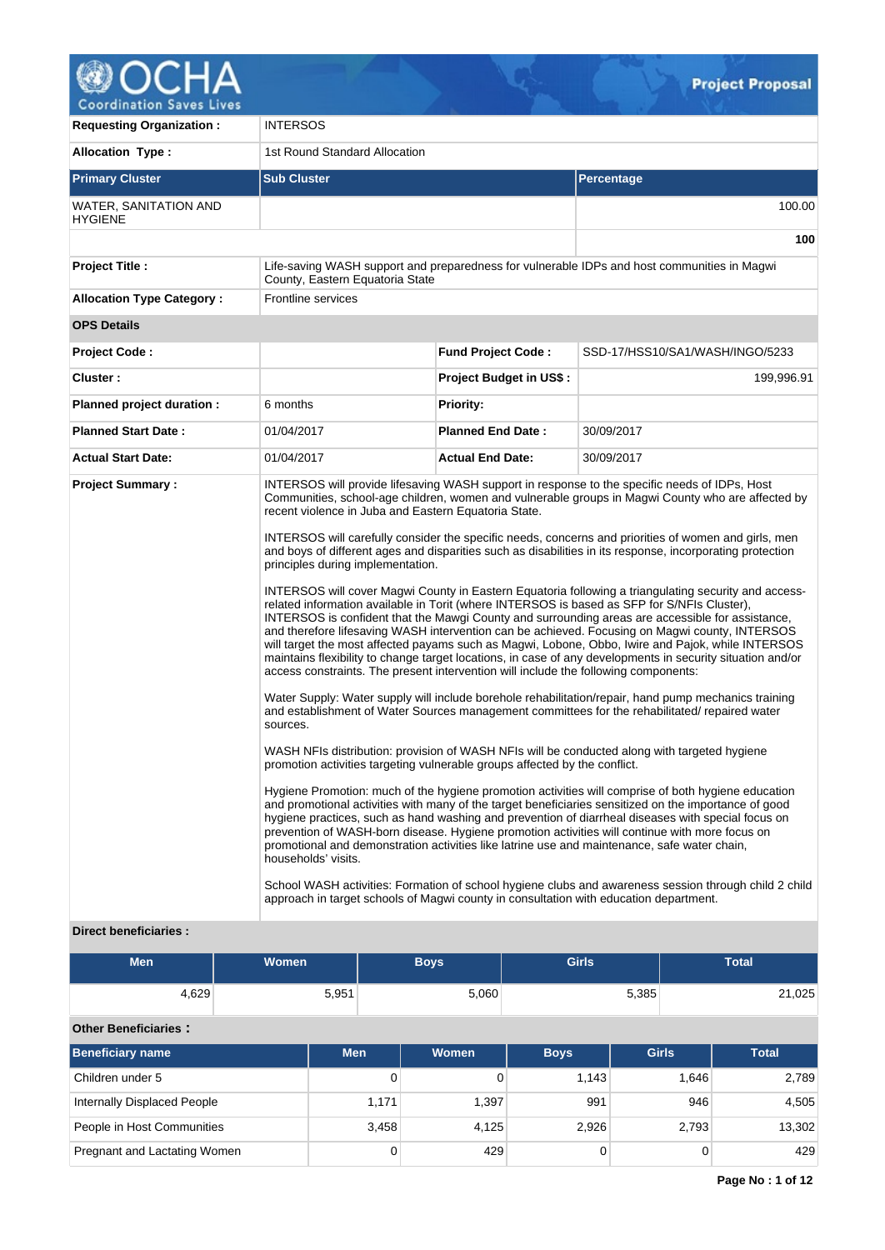

| <b>Requesting Organization:</b>                         | <b>INTERSOS</b>                                                                                                                                                                                                                                                                                                                                                                            |                                |                                                                                                                                                                                                                                                                                                                                                                                                                                                                                                                                                                                                                                                                                                                                                                                                                                                                                                                                                                                                                                                                                                                                                                                                                                                                                                                                                                                                                                                                                                                                                                                                                                                                                                                                                                                                                                                                                                                                                                                                    |  |  |  |  |
|---------------------------------------------------------|--------------------------------------------------------------------------------------------------------------------------------------------------------------------------------------------------------------------------------------------------------------------------------------------------------------------------------------------------------------------------------------------|--------------------------------|----------------------------------------------------------------------------------------------------------------------------------------------------------------------------------------------------------------------------------------------------------------------------------------------------------------------------------------------------------------------------------------------------------------------------------------------------------------------------------------------------------------------------------------------------------------------------------------------------------------------------------------------------------------------------------------------------------------------------------------------------------------------------------------------------------------------------------------------------------------------------------------------------------------------------------------------------------------------------------------------------------------------------------------------------------------------------------------------------------------------------------------------------------------------------------------------------------------------------------------------------------------------------------------------------------------------------------------------------------------------------------------------------------------------------------------------------------------------------------------------------------------------------------------------------------------------------------------------------------------------------------------------------------------------------------------------------------------------------------------------------------------------------------------------------------------------------------------------------------------------------------------------------------------------------------------------------------------------------------------------------|--|--|--|--|
| <b>Allocation Type:</b>                                 | 1st Round Standard Allocation                                                                                                                                                                                                                                                                                                                                                              |                                |                                                                                                                                                                                                                                                                                                                                                                                                                                                                                                                                                                                                                                                                                                                                                                                                                                                                                                                                                                                                                                                                                                                                                                                                                                                                                                                                                                                                                                                                                                                                                                                                                                                                                                                                                                                                                                                                                                                                                                                                    |  |  |  |  |
| <b>Primary Cluster</b>                                  | <b>Sub Cluster</b>                                                                                                                                                                                                                                                                                                                                                                         |                                | Percentage                                                                                                                                                                                                                                                                                                                                                                                                                                                                                                                                                                                                                                                                                                                                                                                                                                                                                                                                                                                                                                                                                                                                                                                                                                                                                                                                                                                                                                                                                                                                                                                                                                                                                                                                                                                                                                                                                                                                                                                         |  |  |  |  |
| WATER, SANITATION AND<br><b>HYGIENE</b>                 |                                                                                                                                                                                                                                                                                                                                                                                            |                                | 100.00                                                                                                                                                                                                                                                                                                                                                                                                                                                                                                                                                                                                                                                                                                                                                                                                                                                                                                                                                                                                                                                                                                                                                                                                                                                                                                                                                                                                                                                                                                                                                                                                                                                                                                                                                                                                                                                                                                                                                                                             |  |  |  |  |
|                                                         |                                                                                                                                                                                                                                                                                                                                                                                            |                                | 100                                                                                                                                                                                                                                                                                                                                                                                                                                                                                                                                                                                                                                                                                                                                                                                                                                                                                                                                                                                                                                                                                                                                                                                                                                                                                                                                                                                                                                                                                                                                                                                                                                                                                                                                                                                                                                                                                                                                                                                                |  |  |  |  |
| <b>Project Title:</b>                                   | County, Eastern Equatoria State                                                                                                                                                                                                                                                                                                                                                            |                                | Life-saving WASH support and preparedness for vulnerable IDPs and host communities in Magwi                                                                                                                                                                                                                                                                                                                                                                                                                                                                                                                                                                                                                                                                                                                                                                                                                                                                                                                                                                                                                                                                                                                                                                                                                                                                                                                                                                                                                                                                                                                                                                                                                                                                                                                                                                                                                                                                                                        |  |  |  |  |
| <b>Allocation Type Category:</b>                        | <b>Frontline services</b>                                                                                                                                                                                                                                                                                                                                                                  |                                |                                                                                                                                                                                                                                                                                                                                                                                                                                                                                                                                                                                                                                                                                                                                                                                                                                                                                                                                                                                                                                                                                                                                                                                                                                                                                                                                                                                                                                                                                                                                                                                                                                                                                                                                                                                                                                                                                                                                                                                                    |  |  |  |  |
| <b>OPS Details</b>                                      |                                                                                                                                                                                                                                                                                                                                                                                            |                                |                                                                                                                                                                                                                                                                                                                                                                                                                                                                                                                                                                                                                                                                                                                                                                                                                                                                                                                                                                                                                                                                                                                                                                                                                                                                                                                                                                                                                                                                                                                                                                                                                                                                                                                                                                                                                                                                                                                                                                                                    |  |  |  |  |
| <b>Project Code:</b>                                    |                                                                                                                                                                                                                                                                                                                                                                                            | <b>Fund Project Code:</b>      | SSD-17/HSS10/SA1/WASH/INGO/5233                                                                                                                                                                                                                                                                                                                                                                                                                                                                                                                                                                                                                                                                                                                                                                                                                                                                                                                                                                                                                                                                                                                                                                                                                                                                                                                                                                                                                                                                                                                                                                                                                                                                                                                                                                                                                                                                                                                                                                    |  |  |  |  |
| Cluster:                                                |                                                                                                                                                                                                                                                                                                                                                                                            | <b>Project Budget in US\$:</b> | 199,996.91                                                                                                                                                                                                                                                                                                                                                                                                                                                                                                                                                                                                                                                                                                                                                                                                                                                                                                                                                                                                                                                                                                                                                                                                                                                                                                                                                                                                                                                                                                                                                                                                                                                                                                                                                                                                                                                                                                                                                                                         |  |  |  |  |
| Planned project duration :                              | 6 months                                                                                                                                                                                                                                                                                                                                                                                   | <b>Priority:</b>               |                                                                                                                                                                                                                                                                                                                                                                                                                                                                                                                                                                                                                                                                                                                                                                                                                                                                                                                                                                                                                                                                                                                                                                                                                                                                                                                                                                                                                                                                                                                                                                                                                                                                                                                                                                                                                                                                                                                                                                                                    |  |  |  |  |
| <b>Planned Start Date:</b>                              | 01/04/2017                                                                                                                                                                                                                                                                                                                                                                                 | <b>Planned End Date:</b>       | 30/09/2017                                                                                                                                                                                                                                                                                                                                                                                                                                                                                                                                                                                                                                                                                                                                                                                                                                                                                                                                                                                                                                                                                                                                                                                                                                                                                                                                                                                                                                                                                                                                                                                                                                                                                                                                                                                                                                                                                                                                                                                         |  |  |  |  |
| <b>Actual Start Date:</b>                               | 01/04/2017                                                                                                                                                                                                                                                                                                                                                                                 | <b>Actual End Date:</b>        | 30/09/2017                                                                                                                                                                                                                                                                                                                                                                                                                                                                                                                                                                                                                                                                                                                                                                                                                                                                                                                                                                                                                                                                                                                                                                                                                                                                                                                                                                                                                                                                                                                                                                                                                                                                                                                                                                                                                                                                                                                                                                                         |  |  |  |  |
| <b>Project Summary:</b><br><b>Direct beneficiaries:</b> | recent violence in Juba and Eastern Equatoria State.<br>principles during implementation.<br>access constraints. The present intervention will include the following components:<br>sources.<br>promotion activities targeting vulnerable groups affected by the conflict.<br>households' visits.<br>approach in target schools of Magwi county in consultation with education department. |                                | INTERSOS will provide lifesaving WASH support in response to the specific needs of IDPs, Host<br>Communities, school-age children, women and vulnerable groups in Magwi County who are affected by<br>INTERSOS will carefully consider the specific needs, concerns and priorities of women and girls, men<br>and boys of different ages and disparities such as disabilities in its response, incorporating protection<br>INTERSOS will cover Magwi County in Eastern Equatoria following a triangulating security and access-<br>related information available in Torit (where INTERSOS is based as SFP for S/NFIs Cluster),<br>INTERSOS is confident that the Mawgi County and surrounding areas are accessible for assistance,<br>and therefore lifesaving WASH intervention can be achieved. Focusing on Magwi county, INTERSOS<br>will target the most affected payams such as Magwi, Lobone, Obbo, Iwire and Pajok, while INTERSOS<br>maintains flexibility to change target locations, in case of any developments in security situation and/or<br>Water Supply: Water supply will include borehole rehabilitation/repair, hand pump mechanics training<br>and establishment of Water Sources management committees for the rehabilitated/ repaired water<br>WASH NFIs distribution: provision of WASH NFIs will be conducted along with targeted hygiene<br>Hygiene Promotion: much of the hygiene promotion activities will comprise of both hygiene education<br>and promotional activities with many of the target beneficiaries sensitized on the importance of good<br>hygiene practices, such as hand washing and prevention of diarrheal diseases with special focus on<br>prevention of WASH-born disease. Hygiene promotion activities will continue with more focus on<br>promotional and demonstration activities like latrine use and maintenance, safe water chain,<br>School WASH activities: Formation of school hygiene clubs and awareness session through child 2 child |  |  |  |  |

| <b>Men</b> | Women <sup>1</sup> | Boys  | <b>Girls</b> | <b>Total</b> |
|------------|--------------------|-------|--------------|--------------|
| 4,629      | 5,951              | 5,060 | 5,385        | 21,025       |

# **Other Beneficiaries :**

| <b>Beneficiary name</b>      | <b>Men</b> | Women | <b>Boys</b> | <b>Girls</b> | <b>Total</b> |
|------------------------------|------------|-------|-------------|--------------|--------------|
| Children under 5             | 0          |       | 1.143       | 1.646        | 2,789        |
| Internally Displaced People  | 1,171      | 1,397 | 991         | 946          | 4,505        |
| People in Host Communities   | 3,458      | 4,125 | 2,926       | 2.793        | 13,302       |
| Pregnant and Lactating Women | 0          | 429   |             |              | 429          |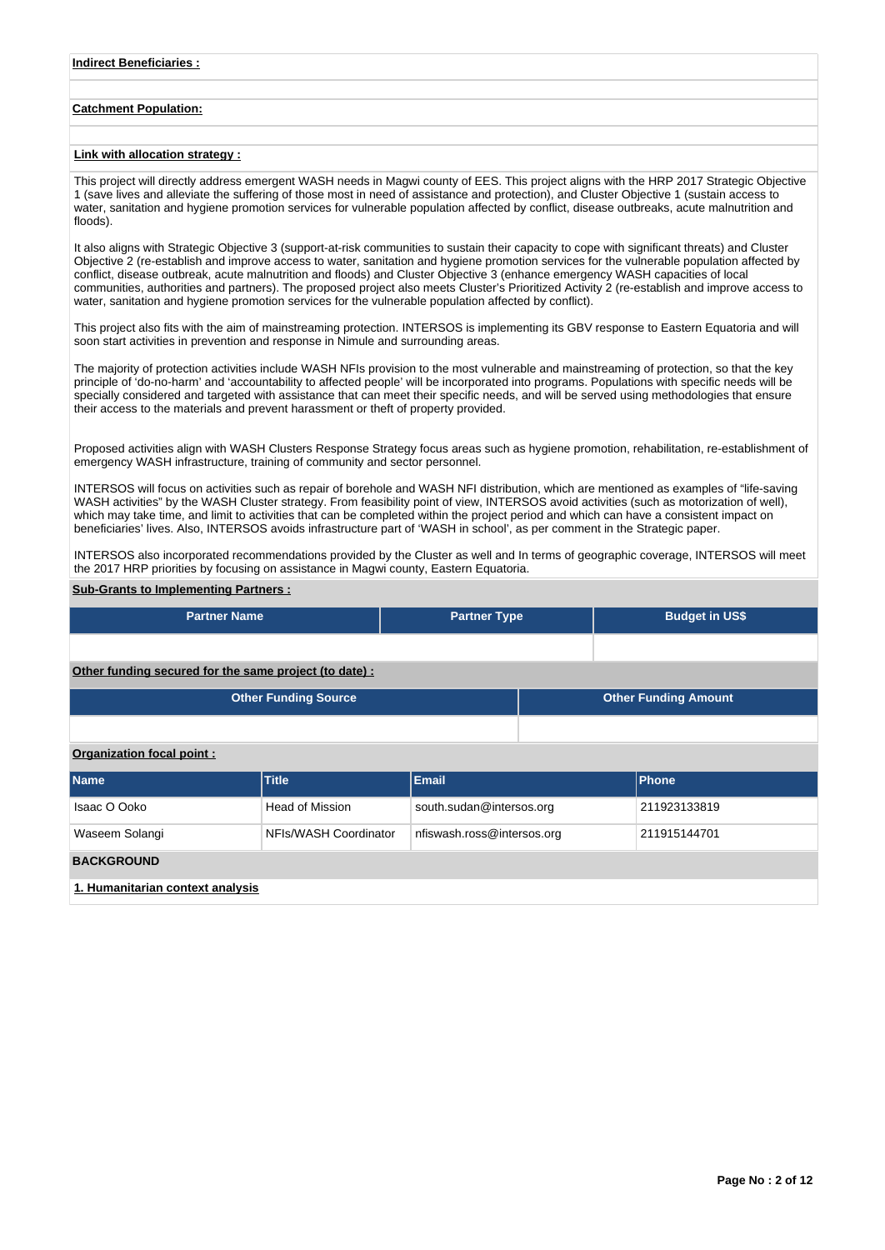# **Catchment Population:**

# **Link with allocation strategy :**

This project will directly address emergent WASH needs in Magwi county of EES. This project aligns with the HRP 2017 Strategic Objective 1 (save lives and alleviate the suffering of those most in need of assistance and protection), and Cluster Objective 1 (sustain access to water, sanitation and hygiene promotion services for vulnerable population affected by conflict, disease outbreaks, acute malnutrition and floods).

It also aligns with Strategic Objective 3 (support-at-risk communities to sustain their capacity to cope with significant threats) and Cluster Objective 2 (re-establish and improve access to water, sanitation and hygiene promotion services for the vulnerable population affected by conflict, disease outbreak, acute malnutrition and floods) and Cluster Objective 3 (enhance emergency WASH capacities of local communities, authorities and partners). The proposed project also meets Cluster's Prioritized Activity 2 (re-establish and improve access to water, sanitation and hygiene promotion services for the vulnerable population affected by conflict).

This project also fits with the aim of mainstreaming protection. INTERSOS is implementing its GBV response to Eastern Equatoria and will soon start activities in prevention and response in Nimule and surrounding areas.

The majority of protection activities include WASH NFIs provision to the most vulnerable and mainstreaming of protection, so that the key principle of 'do-no-harm' and 'accountability to affected people' will be incorporated into programs. Populations with specific needs will be specially considered and targeted with assistance that can meet their specific needs, and will be served using methodologies that ensure their access to the materials and prevent harassment or theft of property provided.

Proposed activities align with WASH Clusters Response Strategy focus areas such as hygiene promotion, rehabilitation, re-establishment of emergency WASH infrastructure, training of community and sector personnel.

INTERSOS will focus on activities such as repair of borehole and WASH NFI distribution, which are mentioned as examples of "life-saving WASH activities" by the WASH Cluster strategy. From feasibility point of view, INTERSOS avoid activities (such as motorization of well), which may take time, and limit to activities that can be completed within the project period and which can have a consistent impact on beneficiaries' lives. Also, INTERSOS avoids infrastructure part of 'WASH in school', as per comment in the Strategic paper.

INTERSOS also incorporated recommendations provided by the Cluster as well and In terms of geographic coverage, INTERSOS will meet the 2017 HRP priorities by focusing on assistance in Magwi county, Eastern Equatoria.

#### **Sub-Grants to Implementing Partners :**

| <b>Partner Name</b>                                   | <b>Partner Type</b> | <b>Budget in US\$</b>       |  |
|-------------------------------------------------------|---------------------|-----------------------------|--|
|                                                       |                     |                             |  |
| Other funding secured for the same project (to date): |                     |                             |  |
| <b>Other Funding Source</b>                           |                     | <b>Other Funding Amount</b> |  |

### **Organization focal point :**

| <b>Name</b>                      | Title                 | <b>Email</b>               | <b>Phone</b> |  |  |  |  |  |  |  |
|----------------------------------|-----------------------|----------------------------|--------------|--|--|--|--|--|--|--|
| Isaac O Ooko                     | Head of Mission       | south.sudan@intersos.org   | 211923133819 |  |  |  |  |  |  |  |
| Waseem Solangi                   | NFIs/WASH Coordinator | nfiswash.ross@intersos.org | 211915144701 |  |  |  |  |  |  |  |
| <b>BACKGROUND</b>                |                       |                            |              |  |  |  |  |  |  |  |
| 1. Humanitarian context analysis |                       |                            |              |  |  |  |  |  |  |  |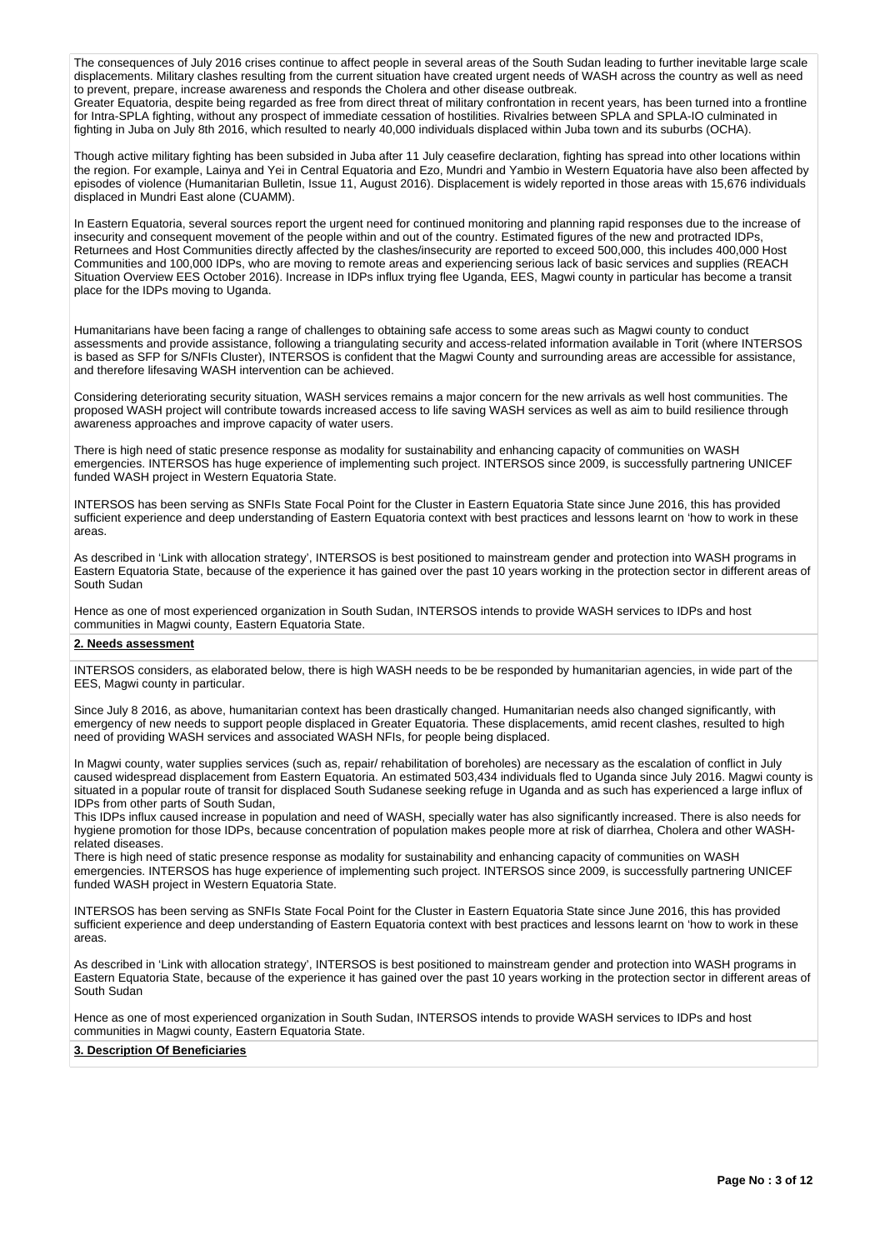The consequences of July 2016 crises continue to affect people in several areas of the South Sudan leading to further inevitable large scale displacements. Military clashes resulting from the current situation have created urgent needs of WASH across the country as well as need to prevent, prepare, increase awareness and responds the Cholera and other disease outbreak.

Greater Equatoria, despite being regarded as free from direct threat of military confrontation in recent years, has been turned into a frontline for Intra-SPLA fighting, without any prospect of immediate cessation of hostilities. Rivalries between SPLA and SPLA-IO culminated in fighting in Juba on July 8th 2016, which resulted to nearly 40,000 individuals displaced within Juba town and its suburbs (OCHA).

Though active military fighting has been subsided in Juba after 11 July ceasefire declaration, fighting has spread into other locations within the region. For example, Lainya and Yei in Central Equatoria and Ezo, Mundri and Yambio in Western Equatoria have also been affected by episodes of violence (Humanitarian Bulletin, Issue 11, August 2016). Displacement is widely reported in those areas with 15,676 individuals displaced in Mundri East alone (CUAMM).

In Eastern Equatoria, several sources report the urgent need for continued monitoring and planning rapid responses due to the increase of insecurity and consequent movement of the people within and out of the country. Estimated figures of the new and protracted IDPs, Returnees and Host Communities directly affected by the clashes/insecurity are reported to exceed 500,000, this includes 400,000 Host Communities and 100,000 IDPs, who are moving to remote areas and experiencing serious lack of basic services and supplies (REACH Situation Overview EES October 2016). Increase in IDPs influx trying flee Uganda, EES, Magwi county in particular has become a transit place for the IDPs moving to Uganda.

Humanitarians have been facing a range of challenges to obtaining safe access to some areas such as Magwi county to conduct assessments and provide assistance, following a triangulating security and access-related information available in Torit (where INTERSOS is based as SFP for S/NFIs Cluster), INTERSOS is confident that the Magwi County and surrounding areas are accessible for assistance, and therefore lifesaving WASH intervention can be achieved.

Considering deteriorating security situation, WASH services remains a major concern for the new arrivals as well host communities. The proposed WASH project will contribute towards increased access to life saving WASH services as well as aim to build resilience through awareness approaches and improve capacity of water users.

There is high need of static presence response as modality for sustainability and enhancing capacity of communities on WASH emergencies. INTERSOS has huge experience of implementing such project. INTERSOS since 2009, is successfully partnering UNICEF funded WASH project in Western Equatoria State.

INTERSOS has been serving as SNFIs State Focal Point for the Cluster in Eastern Equatoria State since June 2016, this has provided sufficient experience and deep understanding of Eastern Equatoria context with best practices and lessons learnt on 'how to work in these areas.

As described in 'Link with allocation strategy', INTERSOS is best positioned to mainstream gender and protection into WASH programs in Eastern Equatoria State, because of the experience it has gained over the past 10 years working in the protection sector in different areas of South Sudan

Hence as one of most experienced organization in South Sudan, INTERSOS intends to provide WASH services to IDPs and host communities in Magwi county, Eastern Equatoria State.

#### **2. Needs assessment**

INTERSOS considers, as elaborated below, there is high WASH needs to be be responded by humanitarian agencies, in wide part of the EES, Magwi county in particular.

Since July 8 2016, as above, humanitarian context has been drastically changed. Humanitarian needs also changed significantly, with emergency of new needs to support people displaced in Greater Equatoria. These displacements, amid recent clashes, resulted to high need of providing WASH services and associated WASH NFIs, for people being displaced.

In Magwi county, water supplies services (such as, repair/ rehabilitation of boreholes) are necessary as the escalation of conflict in July caused widespread displacement from Eastern Equatoria. An estimated 503,434 individuals fled to Uganda since July 2016. Magwi county is situated in a popular route of transit for displaced South Sudanese seeking refuge in Uganda and as such has experienced a large influx of IDPs from other parts of South Sudan,

This IDPs influx caused increase in population and need of WASH, specially water has also significantly increased. There is also needs for hygiene promotion for those IDPs, because concentration of population makes people more at risk of diarrhea, Cholera and other WASHrelated diseases.

There is high need of static presence response as modality for sustainability and enhancing capacity of communities on WASH emergencies. INTERSOS has huge experience of implementing such project. INTERSOS since 2009, is successfully partnering UNICEF funded WASH project in Western Equatoria State.

INTERSOS has been serving as SNFIs State Focal Point for the Cluster in Eastern Equatoria State since June 2016, this has provided sufficient experience and deep understanding of Eastern Equatoria context with best practices and lessons learnt on 'how to work in these areas.

As described in 'Link with allocation strategy', INTERSOS is best positioned to mainstream gender and protection into WASH programs in Eastern Equatoria State, because of the experience it has gained over the past 10 years working in the protection sector in different areas of South Sudan

Hence as one of most experienced organization in South Sudan, INTERSOS intends to provide WASH services to IDPs and host communities in Magwi county, Eastern Equatoria State.

### **3. Description Of Beneficiaries**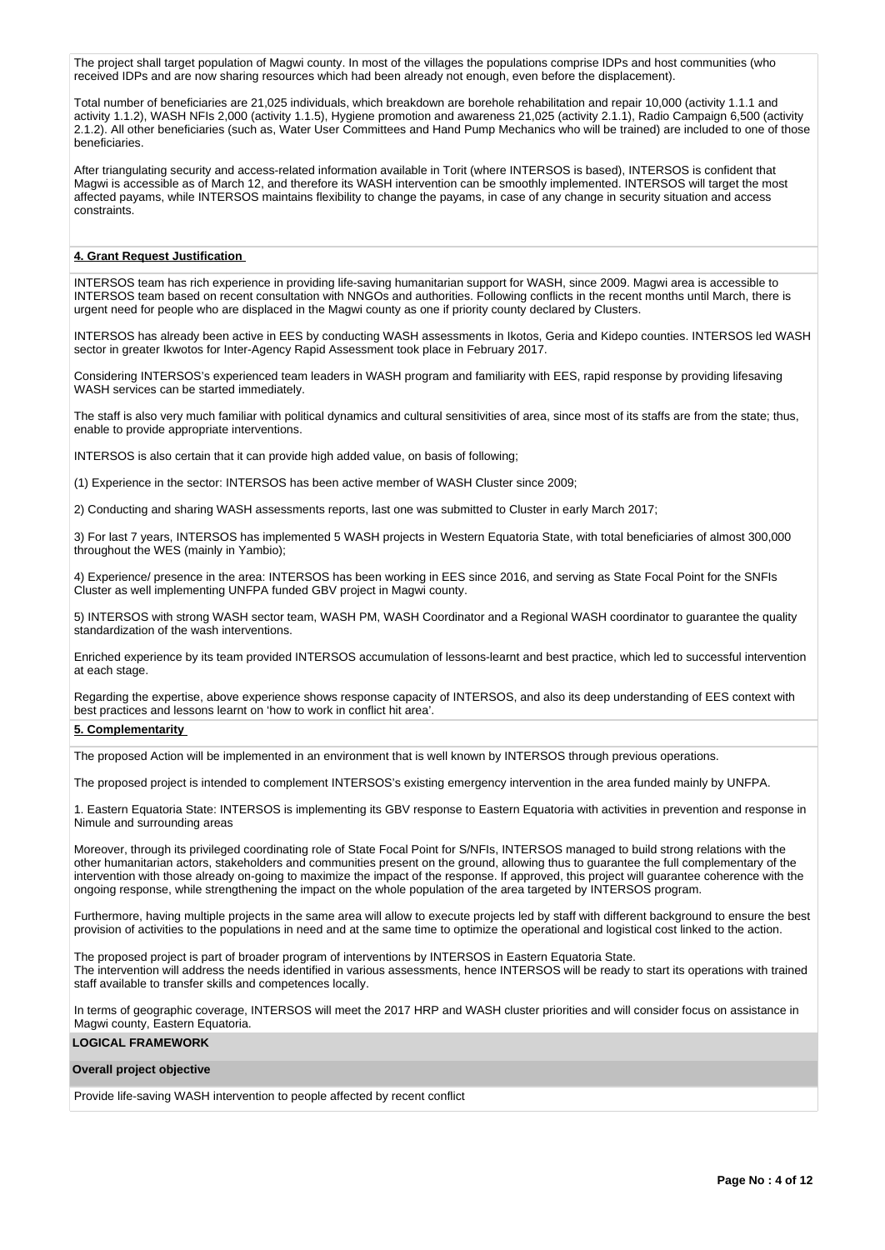The project shall target population of Magwi county. In most of the villages the populations comprise IDPs and host communities (who received IDPs and are now sharing resources which had been already not enough, even before the displacement).

Total number of beneficiaries are 21,025 individuals, which breakdown are borehole rehabilitation and repair 10,000 (activity 1.1.1 and activity 1.1.2), WASH NFIs 2,000 (activity 1.1.5), Hygiene promotion and awareness 21,025 (activity 2.1.1), Radio Campaign 6,500 (activity 2.1.2). All other beneficiaries (such as, Water User Committees and Hand Pump Mechanics who will be trained) are included to one of those beneficiaries.

After triangulating security and access-related information available in Torit (where INTERSOS is based), INTERSOS is confident that Magwi is accessible as of March 12, and therefore its WASH intervention can be smoothly implemented. INTERSOS will target the most affected payams, while INTERSOS maintains flexibility to change the payams, in case of any change in security situation and access constraints.

# **4. Grant Request Justification**

INTERSOS team has rich experience in providing life-saving humanitarian support for WASH, since 2009. Magwi area is accessible to INTERSOS team based on recent consultation with NNGOs and authorities. Following conflicts in the recent months until March, there is urgent need for people who are displaced in the Magwi county as one if priority county declared by Clusters.

INTERSOS has already been active in EES by conducting WASH assessments in Ikotos, Geria and Kidepo counties. INTERSOS led WASH sector in greater Ikwotos for Inter-Agency Rapid Assessment took place in February 2017.

Considering INTERSOS's experienced team leaders in WASH program and familiarity with EES, rapid response by providing lifesaving WASH services can be started immediately.

The staff is also very much familiar with political dynamics and cultural sensitivities of area, since most of its staffs are from the state; thus, enable to provide appropriate interventions.

INTERSOS is also certain that it can provide high added value, on basis of following;

(1) Experience in the sector: INTERSOS has been active member of WASH Cluster since 2009;

2) Conducting and sharing WASH assessments reports, last one was submitted to Cluster in early March 2017;

3) For last 7 years, INTERSOS has implemented 5 WASH projects in Western Equatoria State, with total beneficiaries of almost 300,000 throughout the WES (mainly in Yambio);

4) Experience/ presence in the area: INTERSOS has been working in EES since 2016, and serving as State Focal Point for the SNFIs Cluster as well implementing UNFPA funded GBV project in Magwi county.

5) INTERSOS with strong WASH sector team, WASH PM, WASH Coordinator and a Regional WASH coordinator to guarantee the quality standardization of the wash interventions.

Enriched experience by its team provided INTERSOS accumulation of lessons-learnt and best practice, which led to successful intervention at each stage.

Regarding the expertise, above experience shows response capacity of INTERSOS, and also its deep understanding of EES context with best practices and lessons learnt on 'how to work in conflict hit area'.

#### **5. Complementarity**

The proposed Action will be implemented in an environment that is well known by INTERSOS through previous operations.

The proposed project is intended to complement INTERSOS's existing emergency intervention in the area funded mainly by UNFPA.

1. Eastern Equatoria State: INTERSOS is implementing its GBV response to Eastern Equatoria with activities in prevention and response in Nimule and surrounding areas

Moreover, through its privileged coordinating role of State Focal Point for S/NFIs, INTERSOS managed to build strong relations with the other humanitarian actors, stakeholders and communities present on the ground, allowing thus to guarantee the full complementary of the intervention with those already on-going to maximize the impact of the response. If approved, this project will guarantee coherence with the ongoing response, while strengthening the impact on the whole population of the area targeted by INTERSOS program.

Furthermore, having multiple projects in the same area will allow to execute projects led by staff with different background to ensure the best provision of activities to the populations in need and at the same time to optimize the operational and logistical cost linked to the action.

The proposed project is part of broader program of interventions by INTERSOS in Eastern Equatoria State. The intervention will address the needs identified in various assessments, hence INTERSOS will be ready to start its operations with trained staff available to transfer skills and competences locally.

In terms of geographic coverage, INTERSOS will meet the 2017 HRP and WASH cluster priorities and will consider focus on assistance in Magwi county, Eastern Equatoria.

# **LOGICAL FRAMEWORK**

# **Overall project objective**

Provide life-saving WASH intervention to people affected by recent conflict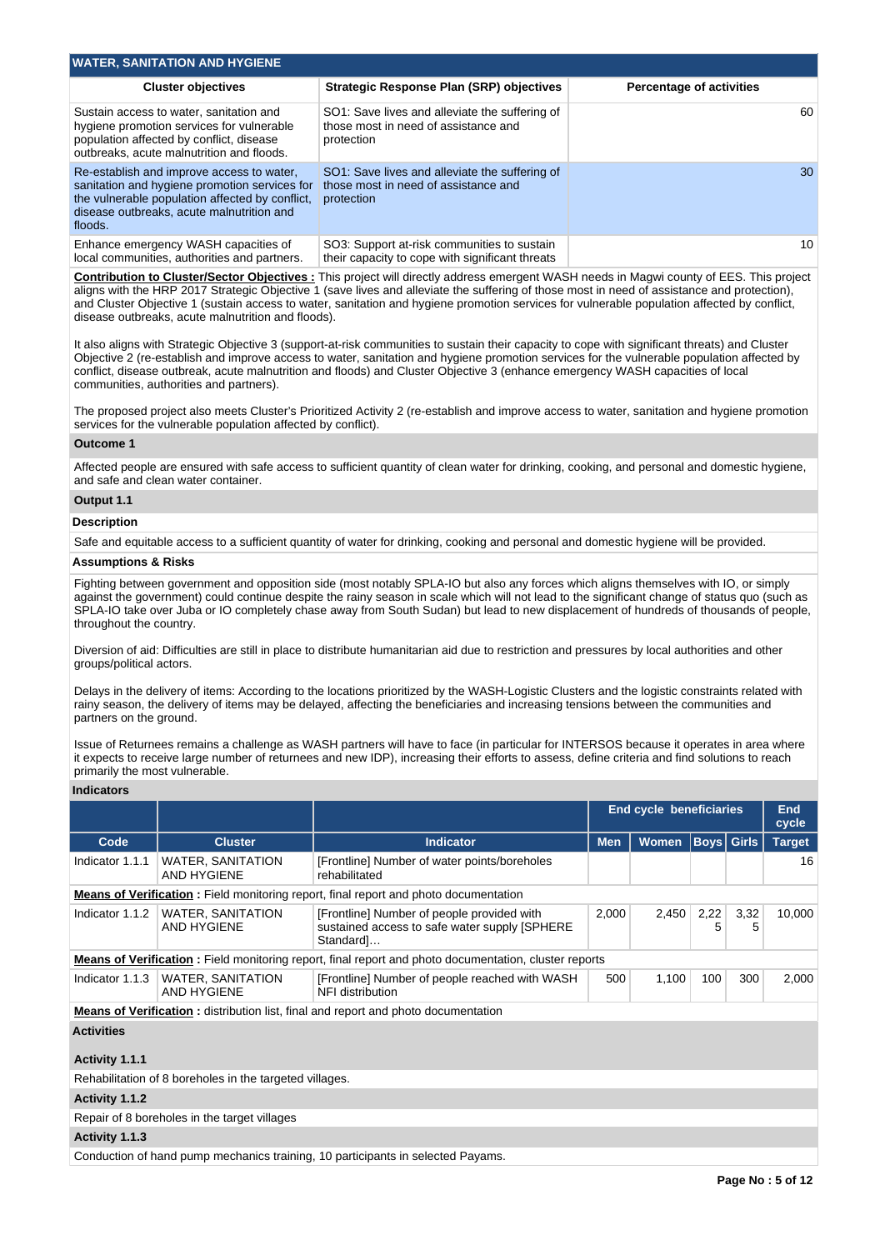| <b>WATER, SANITATION AND HYGIENE</b>                                                                                                                                                                  |                                                                                                      |                                 |
|-------------------------------------------------------------------------------------------------------------------------------------------------------------------------------------------------------|------------------------------------------------------------------------------------------------------|---------------------------------|
| <b>Cluster objectives</b>                                                                                                                                                                             | Strategic Response Plan (SRP) objectives                                                             | <b>Percentage of activities</b> |
| Sustain access to water, sanitation and<br>hygiene promotion services for vulnerable<br>population affected by conflict, disease<br>outbreaks, acute malnutrition and floods.                         | SO1: Save lives and alleviate the suffering of<br>those most in need of assistance and<br>protection | 60                              |
| Re-establish and improve access to water.<br>sanitation and hygiene promotion services for<br>the vulnerable population affected by conflict.<br>disease outbreaks, acute malnutrition and<br>floods. | SO1: Save lives and alleviate the suffering of<br>those most in need of assistance and<br>protection | 30                              |
| Enhance emergency WASH capacities of<br>local communities, authorities and partners.                                                                                                                  | SO3: Support at-risk communities to sustain<br>their capacity to cope with significant threats       | 10                              |

**Contribution to Cluster/Sector Objectives :** This project will directly address emergent WASH needs in Magwi county of EES. This project aligns with the HRP 2017 Strategic Objective 1 (save lives and alleviate the suffering of those most in need of assistance and protection), and Cluster Objective 1 (sustain access to water, sanitation and hygiene promotion services for vulnerable population affected by conflict, disease outbreaks, acute malnutrition and floods).

It also aligns with Strategic Objective 3 (support-at-risk communities to sustain their capacity to cope with significant threats) and Cluster Objective 2 (re-establish and improve access to water, sanitation and hygiene promotion services for the vulnerable population affected by conflict, disease outbreak, acute malnutrition and floods) and Cluster Objective 3 (enhance emergency WASH capacities of local communities, authorities and partners).

The proposed project also meets Cluster's Prioritized Activity 2 (re-establish and improve access to water, sanitation and hygiene promotion services for the vulnerable population affected by conflict).

## **Outcome 1**

Affected people are ensured with safe access to sufficient quantity of clean water for drinking, cooking, and personal and domestic hygiene, and safe and clean water container.

## **Output 1.1**

#### **Description**

Safe and equitable access to a sufficient quantity of water for drinking, cooking and personal and domestic hygiene will be provided.

# **Assumptions & Risks**

Fighting between government and opposition side (most notably SPLA-IO but also any forces which aligns themselves with IO, or simply against the government) could continue despite the rainy season in scale which will not lead to the significant change of status quo (such as SPLA-IO take over Juba or IO completely chase away from South Sudan) but lead to new displacement of hundreds of thousands of people, throughout the country.

Diversion of aid: Difficulties are still in place to distribute humanitarian aid due to restriction and pressures by local authorities and other groups/political actors.

Delays in the delivery of items: According to the locations prioritized by the WASH-Logistic Clusters and the logistic constraints related with rainy season, the delivery of items may be delayed, affecting the beneficiaries and increasing tensions between the communities and partners on the ground.

Issue of Returnees remains a challenge as WASH partners will have to face (in particular for INTERSOS because it operates in area where it expects to receive large number of returnees and new IDP), increasing their efforts to assess, define criteria and find solutions to reach primarily the most vulnerable.

#### **Indicators**

|                                                                                           |                                         | <b>End cycle beneficiaries</b>                                                                                |            |              |           |                   |               |  |  |  | <b>End</b><br>cycle |
|-------------------------------------------------------------------------------------------|-----------------------------------------|---------------------------------------------------------------------------------------------------------------|------------|--------------|-----------|-------------------|---------------|--|--|--|---------------------|
| Code                                                                                      | <b>Cluster</b>                          | <b>Indicator</b>                                                                                              | <b>Men</b> | <b>Women</b> |           | <b>Boys Girls</b> | <b>Target</b> |  |  |  |                     |
| Indicator 1.1.1                                                                           | <b>WATER, SANITATION</b><br>AND HYGIENE | [Frontline] Number of water points/boreholes<br>rehabilitated                                                 |            |              |           |                   | 16            |  |  |  |                     |
|                                                                                           |                                         | <b>Means of Verification:</b> Field monitoring report, final report and photo documentation                   |            |              |           |                   |               |  |  |  |                     |
| Indicator 1.1.2                                                                           | <b>WATER, SANITATION</b><br>AND HYGIENE | [Frontline] Number of people provided with<br>sustained access to safe water supply [SPHERE]<br>Standard]     | 2,000      | 2.450        | 2,22<br>5 | 3,32<br>5         | 10.000        |  |  |  |                     |
|                                                                                           |                                         | <b>Means of Verification</b> : Field monitoring report, final report and photo documentation, cluster reports |            |              |           |                   |               |  |  |  |                     |
| Indicator 1.1.3                                                                           | <b>WATER, SANITATION</b><br>AND HYGIENE | [Frontline] Number of people reached with WASH<br>NFI distribution                                            |            | 1.100        | 100       | 300               | 2.000         |  |  |  |                     |
| <b>Means of Verification:</b> distribution list, final and report and photo documentation |                                         |                                                                                                               |            |              |           |                   |               |  |  |  |                     |
| <b>Activities</b>                                                                         |                                         |                                                                                                               |            |              |           |                   |               |  |  |  |                     |

# **Activity 1.1.1**

Rehabilitation of 8 boreholes in the targeted villages.

### **Activity 1.1.2**

Repair of 8 boreholes in the target villages

# **Activity 1.1.3**

Conduction of hand pump mechanics training, 10 participants in selected Payams.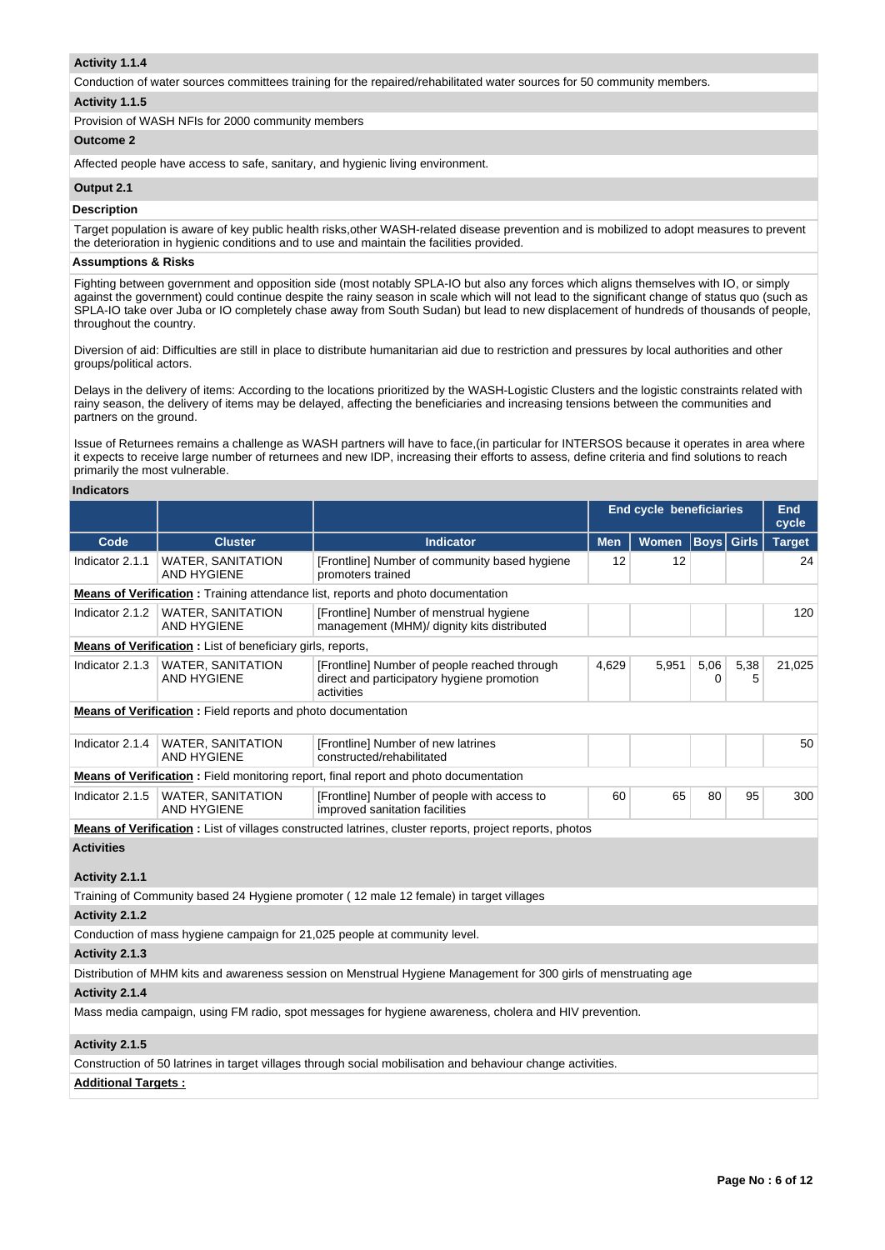## **Activity 1.1.4**

Conduction of water sources committees training for the repaired/rehabilitated water sources for 50 community members.

## **Activity 1.1.5**

Provision of WASH NFIs for 2000 community members

# **Outcome 2**

Affected people have access to safe, sanitary, and hygienic living environment.

## **Output 2.1**

# **Description**

Target population is aware of key public health risks,other WASH-related disease prevention and is mobilized to adopt measures to prevent the deterioration in hygienic conditions and to use and maintain the facilities provided.

### **Assumptions & Risks**

Fighting between government and opposition side (most notably SPLA-IO but also any forces which aligns themselves with IO, or simply against the government) could continue despite the rainy season in scale which will not lead to the significant change of status quo (such as SPLA-IO take over Juba or IO completely chase away from South Sudan) but lead to new displacement of hundreds of thousands of people, throughout the country.

Diversion of aid: Difficulties are still in place to distribute humanitarian aid due to restriction and pressures by local authorities and other groups/political actors.

Delays in the delivery of items: According to the locations prioritized by the WASH-Logistic Clusters and the logistic constraints related with rainy season, the delivery of items may be delayed, affecting the beneficiaries and increasing tensions between the communities and partners on the ground.

Issue of Returnees remains a challenge as WASH partners will have to face,(in particular for INTERSOS because it operates in area where it expects to receive large number of returnees and new IDP, increasing their efforts to assess, define criteria and find solutions to reach primarily the most vulnerable.

#### **Indicators**

|                                                                                         |                                                                                                                   |                                                                                                                  | <b>End cycle beneficiaries</b> |       |                  |           | <b>End</b><br>cycle |     |  |
|-----------------------------------------------------------------------------------------|-------------------------------------------------------------------------------------------------------------------|------------------------------------------------------------------------------------------------------------------|--------------------------------|-------|------------------|-----------|---------------------|-----|--|
| Code                                                                                    | <b>Cluster</b>                                                                                                    | <b>Indicator</b>                                                                                                 | <b>Men</b>                     | Women | Bovsl            | Girls     | <b>Target</b>       |     |  |
| Indicator 2.1.1                                                                         | <b>WATER, SANITATION</b><br><b>AND HYGIENE</b>                                                                    | [Frontline] Number of community based hygiene<br>promoters trained                                               | 12                             | 12    |                  |           | 24                  |     |  |
| <b>Means of Verification:</b> Training attendance list, reports and photo documentation |                                                                                                                   |                                                                                                                  |                                |       |                  |           |                     |     |  |
| Indicator 2.1.2                                                                         | WATER, SANITATION<br><b>AND HYGIENE</b>                                                                           | [Frontline] Number of menstrual hygiene<br>management (MHM)/ dignity kits distributed                            |                                |       |                  |           |                     | 120 |  |
|                                                                                         | <b>Means of Verification :</b> List of beneficiary girls, reports,                                                |                                                                                                                  |                                |       |                  |           |                     |     |  |
| Indicator 2.1.3                                                                         | <b>WATER, SANITATION</b><br><b>AND HYGIENE</b>                                                                    | [Frontline] Number of people reached through<br>direct and participatory hygiene promotion<br>activities         | 4,629                          | 5,951 | 5,06<br>$\Omega$ | 5,38<br>5 | 21,025              |     |  |
|                                                                                         | <b>Means of Verification:</b> Field reports and photo documentation                                               |                                                                                                                  |                                |       |                  |           |                     |     |  |
| Indicator 2.1.4                                                                         | <b>WATER, SANITATION</b><br>[Frontline] Number of new latrines<br><b>AND HYGIENE</b><br>constructed/rehabilitated |                                                                                                                  |                                |       |                  |           | 50                  |     |  |
|                                                                                         |                                                                                                                   | <b>Means of Verification:</b> Field monitoring report, final report and photo documentation                      |                                |       |                  |           |                     |     |  |
| Indicator 2.1.5                                                                         | <b>WATER, SANITATION</b><br><b>AND HYGIENE</b>                                                                    | [Frontline] Number of people with access to<br>improved sanitation facilities                                    | 60                             | 65    | 80               | 95        | 300                 |     |  |
|                                                                                         |                                                                                                                   | <b>Means of Verification:</b> List of villages constructed latrines, cluster reports, project reports, photos    |                                |       |                  |           |                     |     |  |
| <b>Activities</b>                                                                       |                                                                                                                   |                                                                                                                  |                                |       |                  |           |                     |     |  |
| Activity 2.1.1                                                                          |                                                                                                                   |                                                                                                                  |                                |       |                  |           |                     |     |  |
|                                                                                         |                                                                                                                   | Training of Community based 24 Hygiene promoter (12 male 12 female) in target villages                           |                                |       |                  |           |                     |     |  |
| Activity 2.1.2                                                                          |                                                                                                                   |                                                                                                                  |                                |       |                  |           |                     |     |  |
|                                                                                         |                                                                                                                   | Conduction of mass hygiene campaign for 21,025 people at community level.                                        |                                |       |                  |           |                     |     |  |
| Activity 2.1.3                                                                          |                                                                                                                   |                                                                                                                  |                                |       |                  |           |                     |     |  |
|                                                                                         |                                                                                                                   | Distribution of MHM kits and awareness session on Menstrual Hygiene Management for 300 girls of menstruating age |                                |       |                  |           |                     |     |  |
| Activity 2.1.4                                                                          |                                                                                                                   |                                                                                                                  |                                |       |                  |           |                     |     |  |
|                                                                                         |                                                                                                                   | Mass media campaign, using FM radio, spot messages for hygiene awareness, cholera and HIV prevention.            |                                |       |                  |           |                     |     |  |
| Activity 2.1.5                                                                          |                                                                                                                   |                                                                                                                  |                                |       |                  |           |                     |     |  |
|                                                                                         |                                                                                                                   | Construction of 50 latrines in target villages through social mobilisation and behaviour change activities.      |                                |       |                  |           |                     |     |  |
| <b>Additional Targets:</b>                                                              |                                                                                                                   |                                                                                                                  |                                |       |                  |           |                     |     |  |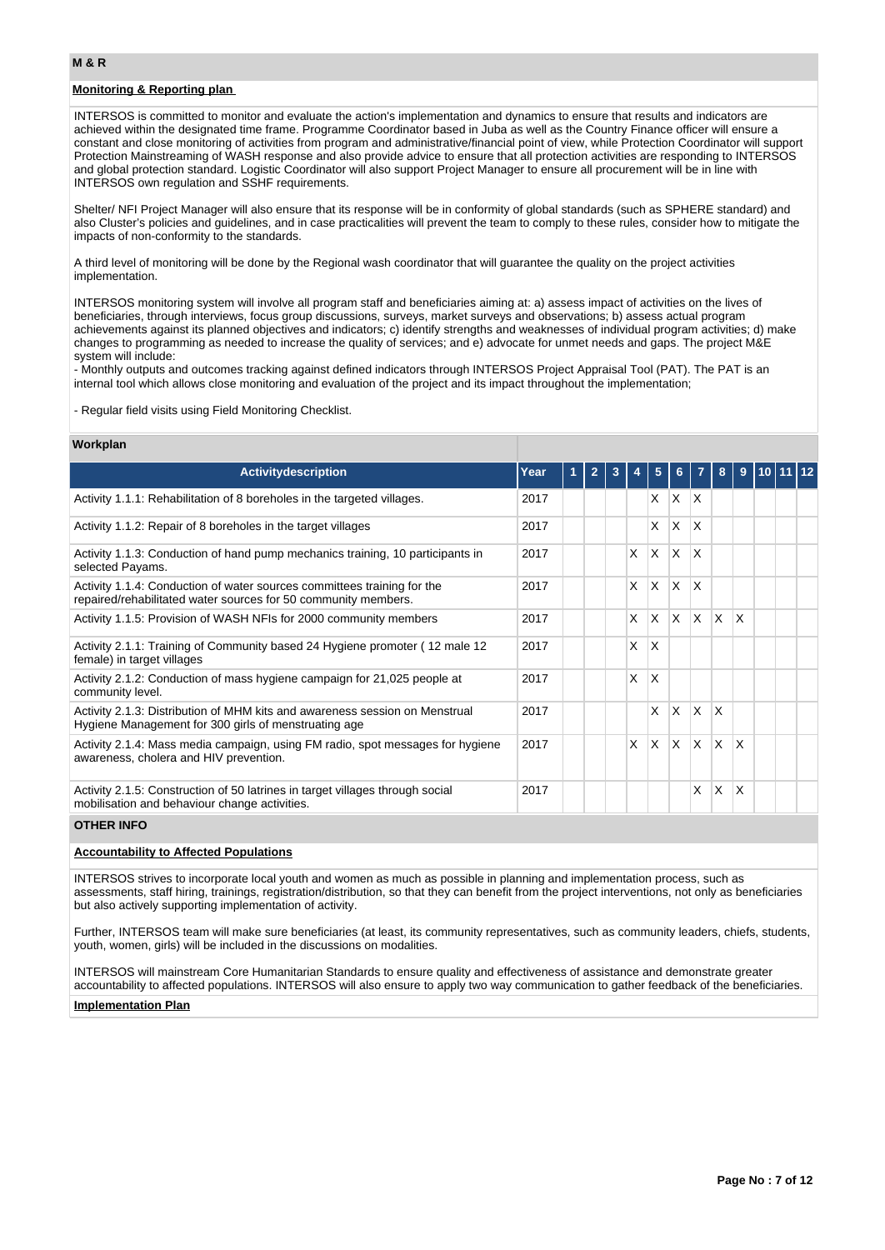# **Monitoring & Reporting plan**

INTERSOS is committed to monitor and evaluate the action's implementation and dynamics to ensure that results and indicators are achieved within the designated time frame. Programme Coordinator based in Juba as well as the Country Finance officer will ensure a constant and close monitoring of activities from program and administrative/financial point of view, while Protection Coordinator will support Protection Mainstreaming of WASH response and also provide advice to ensure that all protection activities are responding to INTERSOS and global protection standard. Logistic Coordinator will also support Project Manager to ensure all procurement will be in line with INTERSOS own regulation and SSHF requirements.

Shelter/ NFI Project Manager will also ensure that its response will be in conformity of global standards (such as SPHERE standard) and also Cluster's policies and guidelines, and in case practicalities will prevent the team to comply to these rules, consider how to mitigate the impacts of non-conformity to the standards.

A third level of monitoring will be done by the Regional wash coordinator that will guarantee the quality on the project activities implementation.

INTERSOS monitoring system will involve all program staff and beneficiaries aiming at: a) assess impact of activities on the lives of beneficiaries, through interviews, focus group discussions, surveys, market surveys and observations; b) assess actual program achievements against its planned objectives and indicators; c) identify strengths and weaknesses of individual program activities; d) make changes to programming as needed to increase the quality of services; and e) advocate for unmet needs and gaps. The project M&E system will include:

- Monthly outputs and outcomes tracking against defined indicators through INTERSOS Project Appraisal Tool (PAT). The PAT is an internal tool which allows close monitoring and evaluation of the project and its impact throughout the implementation;

- Regular field visits using Field Monitoring Checklist.

#### **Workplan**

| <b>Activity description</b>                                                                                                               | Year |  | 3 |   | 5        | 6.                      |              | 8        | 9                       |  |  |
|-------------------------------------------------------------------------------------------------------------------------------------------|------|--|---|---|----------|-------------------------|--------------|----------|-------------------------|--|--|
| Activity 1.1.1: Rehabilitation of 8 boreholes in the targeted villages.                                                                   | 2017 |  |   |   | X        | <b>X</b>                | $\mathsf{X}$ |          |                         |  |  |
| Activity 1.1.2: Repair of 8 boreholes in the target villages                                                                              | 2017 |  |   |   | X        | $\overline{\mathsf{x}}$ | X            |          |                         |  |  |
| Activity 1.1.3: Conduction of hand pump mechanics training, 10 participants in<br>selected Payams.                                        | 2017 |  |   | X | X        | <sup>X</sup>            | X            |          |                         |  |  |
| Activity 1.1.4: Conduction of water sources committees training for the<br>repaired/rehabilitated water sources for 50 community members. | 2017 |  |   | X | $\times$ | <sup>X</sup>            | X            |          |                         |  |  |
| Activity 1.1.5: Provision of WASH NFIs for 2000 community members                                                                         | 2017 |  |   | X | $\times$ | X                       | ΙX.          | $\times$ | $\overline{\mathsf{x}}$ |  |  |
| Activity 2.1.1: Training of Community based 24 Hygiene promoter (12 male 12)<br>female) in target villages                                | 2017 |  |   | X | X        |                         |              |          |                         |  |  |
| Activity 2.1.2: Conduction of mass hygiene campaign for 21,025 people at<br>community level.                                              | 2017 |  |   | X | X        |                         |              |          |                         |  |  |
| Activity 2.1.3: Distribution of MHM kits and awareness session on Menstrual<br>Hygiene Management for 300 girls of menstruating age       | 2017 |  |   |   | X        | $\mathsf{X}$            | ΙX.          | X        |                         |  |  |
| Activity 2.1.4: Mass media campaign, using FM radio, spot messages for hygiene<br>awareness, cholera and HIV prevention.                  | 2017 |  |   | X | X        | <sup>X</sup>            | <b>X</b>     | <b>X</b> | $\mathsf{x}$            |  |  |
| Activity 2.1.5: Construction of 50 latrines in target villages through social<br>mobilisation and behaviour change activities.            | 2017 |  |   |   |          |                         | X            | X        | X                       |  |  |

# **OTHER INFO**

# **Accountability to Affected Populations**

INTERSOS strives to incorporate local youth and women as much as possible in planning and implementation process, such as assessments, staff hiring, trainings, registration/distribution, so that they can benefit from the project interventions, not only as beneficiaries but also actively supporting implementation of activity.

Further, INTERSOS team will make sure beneficiaries (at least, its community representatives, such as community leaders, chiefs, students, youth, women, girls) will be included in the discussions on modalities.

INTERSOS will mainstream Core Humanitarian Standards to ensure quality and effectiveness of assistance and demonstrate greater accountability to affected populations. INTERSOS will also ensure to apply two way communication to gather feedback of the beneficiaries.

#### **Implementation Plan**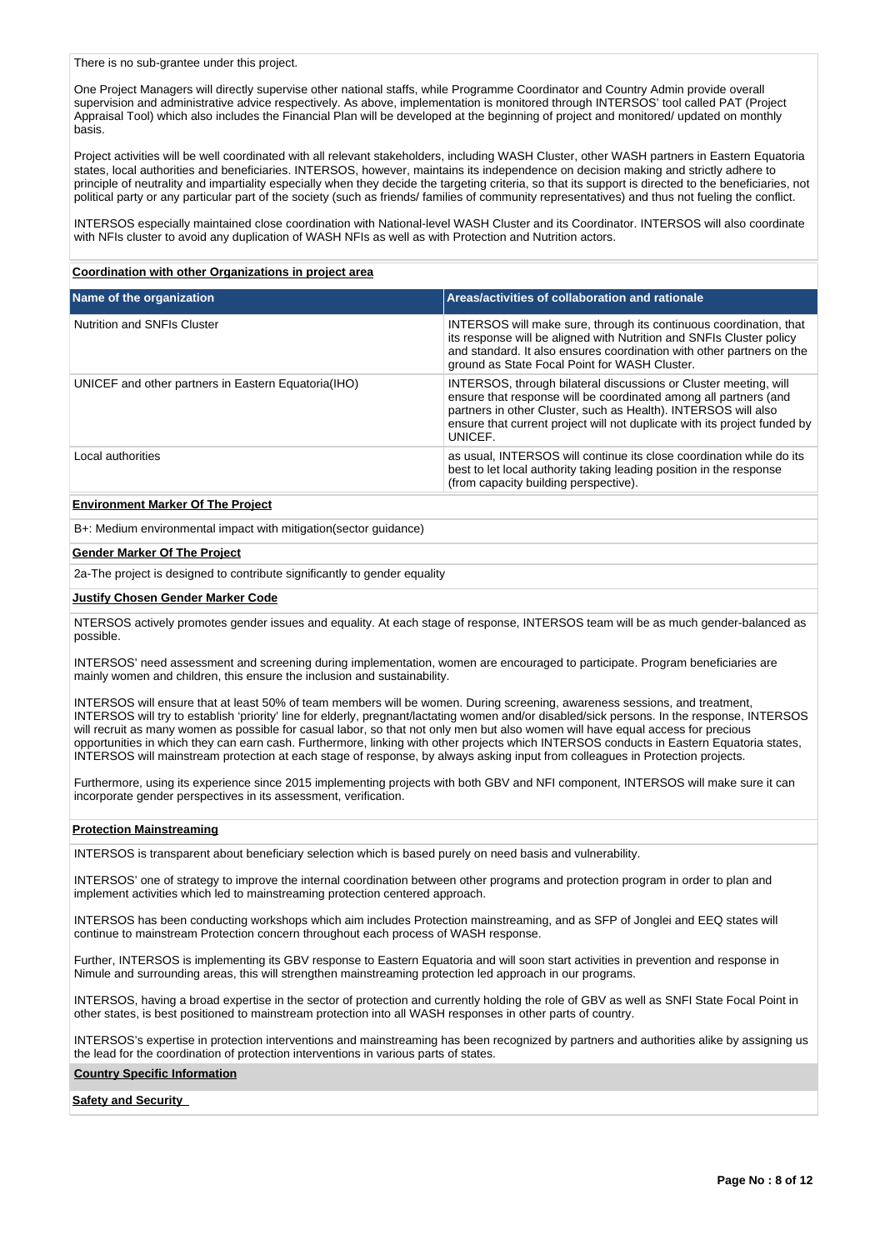There is no sub-grantee under this project.

One Project Managers will directly supervise other national staffs, while Programme Coordinator and Country Admin provide overall supervision and administrative advice respectively. As above, implementation is monitored through INTERSOS' tool called PAT (Project Appraisal Tool) which also includes the Financial Plan will be developed at the beginning of project and monitored/ updated on monthly basis.

Project activities will be well coordinated with all relevant stakeholders, including WASH Cluster, other WASH partners in Eastern Equatoria states, local authorities and beneficiaries. INTERSOS, however, maintains its independence on decision making and strictly adhere to principle of neutrality and impartiality especially when they decide the targeting criteria, so that its support is directed to the beneficiaries, not political party or any particular part of the society (such as friends/ families of community representatives) and thus not fueling the conflict.

INTERSOS especially maintained close coordination with National-level WASH Cluster and its Coordinator. INTERSOS will also coordinate with NFIs cluster to avoid any duplication of WASH NFIs as well as with Protection and Nutrition actors.

### **Coordination with other Organizations in project area**

| Name of the organization                            | Areas/activities of collaboration and rationale                                                                                                                                                                                                                                                |
|-----------------------------------------------------|------------------------------------------------------------------------------------------------------------------------------------------------------------------------------------------------------------------------------------------------------------------------------------------------|
| Nutrition and SNFIs Cluster                         | INTERSOS will make sure, through its continuous coordination, that<br>its response will be aligned with Nutrition and SNFIs Cluster policy<br>and standard. It also ensures coordination with other partners on the<br>ground as State Focal Point for WASH Cluster.                           |
| UNICEF and other partners in Eastern Equatoria(IHO) | INTERSOS, through bilateral discussions or Cluster meeting, will<br>ensure that response will be coordinated among all partners (and<br>partners in other Cluster, such as Health). INTERSOS will also<br>ensure that current project will not duplicate with its project funded by<br>UNICEF. |
| Local authorities                                   | as usual, INTERSOS will continue its close coordination while do its<br>best to let local authority taking leading position in the response<br>(from capacity building perspective).                                                                                                           |

## **Environment Marker Of The Project**

B+: Medium environmental impact with mitigation(sector guidance)

#### **Gender Marker Of The Project**

2a-The project is designed to contribute significantly to gender equality

#### **Justify Chosen Gender Marker Code**

NTERSOS actively promotes gender issues and equality. At each stage of response, INTERSOS team will be as much gender-balanced as possible.

INTERSOS' need assessment and screening during implementation, women are encouraged to participate. Program beneficiaries are mainly women and children, this ensure the inclusion and sustainability.

INTERSOS will ensure that at least 50% of team members will be women. During screening, awareness sessions, and treatment, INTERSOS will try to establish 'priority' line for elderly, pregnant/lactating women and/or disabled/sick persons. In the response, INTERSOS will recruit as many women as possible for casual labor, so that not only men but also women will have equal access for precious opportunities in which they can earn cash. Furthermore, linking with other projects which INTERSOS conducts in Eastern Equatoria states, INTERSOS will mainstream protection at each stage of response, by always asking input from colleagues in Protection projects.

Furthermore, using its experience since 2015 implementing projects with both GBV and NFI component, INTERSOS will make sure it can incorporate gender perspectives in its assessment, verification.

#### **Protection Mainstreaming**

INTERSOS is transparent about beneficiary selection which is based purely on need basis and vulnerability.

INTERSOS' one of strategy to improve the internal coordination between other programs and protection program in order to plan and implement activities which led to mainstreaming protection centered approach.

INTERSOS has been conducting workshops which aim includes Protection mainstreaming, and as SFP of Jonglei and EEQ states will continue to mainstream Protection concern throughout each process of WASH response.

Further, INTERSOS is implementing its GBV response to Eastern Equatoria and will soon start activities in prevention and response in Nimule and surrounding areas, this will strengthen mainstreaming protection led approach in our programs.

INTERSOS, having a broad expertise in the sector of protection and currently holding the role of GBV as well as SNFI State Focal Point in other states, is best positioned to mainstream protection into all WASH responses in other parts of country.

INTERSOS's expertise in protection interventions and mainstreaming has been recognized by partners and authorities alike by assigning us the lead for the coordination of protection interventions in various parts of states.

#### **Country Specific Information**

#### **Safety and Security**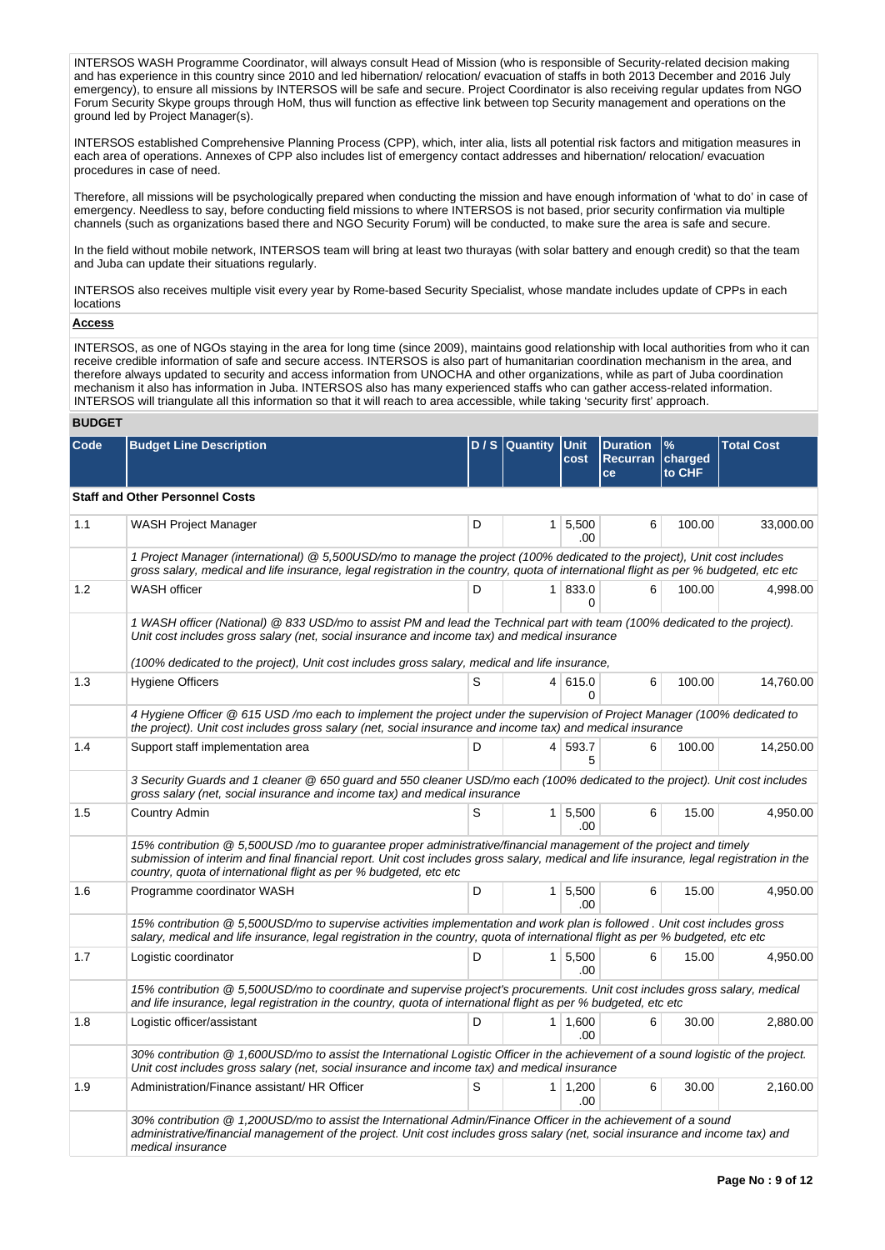INTERSOS WASH Programme Coordinator, will always consult Head of Mission (who is responsible of Security-related decision making and has experience in this country since 2010 and led hibernation/ relocation/ evacuation of staffs in both 2013 December and 2016 July emergency), to ensure all missions by INTERSOS will be safe and secure. Project Coordinator is also receiving regular updates from NGO Forum Security Skype groups through HoM, thus will function as effective link between top Security management and operations on the ground led by Project Manager(s).

INTERSOS established Comprehensive Planning Process (CPP), which, inter alia, lists all potential risk factors and mitigation measures in each area of operations. Annexes of CPP also includes list of emergency contact addresses and hibernation/ relocation/ evacuation procedures in case of need.

Therefore, all missions will be psychologically prepared when conducting the mission and have enough information of 'what to do' in case of emergency. Needless to say, before conducting field missions to where INTERSOS is not based, prior security confirmation via multiple channels (such as organizations based there and NGO Security Forum) will be conducted, to make sure the area is safe and secure.

In the field without mobile network, INTERSOS team will bring at least two thurayas (with solar battery and enough credit) so that the team and Juba can update their situations regularly.

INTERSOS also receives multiple visit every year by Rome-based Security Specialist, whose mandate includes update of CPPs in each locations

#### **Access**

INTERSOS, as one of NGOs staying in the area for long time (since 2009), maintains good relationship with local authorities from who it can receive credible information of safe and secure access. INTERSOS is also part of humanitarian coordination mechanism in the area, and therefore always updated to security and access information from UNOCHA and other organizations, while as part of Juba coordination mechanism it also has information in Juba. INTERSOS also has many experienced staffs who can gather access-related information. INTERSOS will triangulate all this information so that it will reach to area accessible, while taking 'security first' approach.

## **BUDGET**

| Code | <b>Budget Line Description</b>                                                                                                                                                                                                                                                                                                    |   | $D / S$ Quantity | <b>Unit</b><br>cost    | <b>Duration</b><br><b>Recurran</b> | $\frac{9}{6}$<br>charged | <b>Total Cost</b> |
|------|-----------------------------------------------------------------------------------------------------------------------------------------------------------------------------------------------------------------------------------------------------------------------------------------------------------------------------------|---|------------------|------------------------|------------------------------------|--------------------------|-------------------|
|      |                                                                                                                                                                                                                                                                                                                                   |   |                  |                        | ce                                 | to CHF                   |                   |
|      | <b>Staff and Other Personnel Costs</b>                                                                                                                                                                                                                                                                                            |   |                  |                        |                                    |                          |                   |
| 1.1  | <b>WASH Project Manager</b>                                                                                                                                                                                                                                                                                                       | D |                  | 1   5,500<br>.00       | 6                                  | 100.00                   | 33,000.00         |
|      | 1 Project Manager (international) @ 5,500USD/mo to manage the project (100% dedicated to the project), Unit cost includes<br>gross salary, medical and life insurance, legal registration in the country, quota of international flight as per % budgeted, etc etc                                                                |   |                  |                        |                                    |                          |                   |
| 1.2  | WASH officer                                                                                                                                                                                                                                                                                                                      | D | 1 <sup>1</sup>   | 833.0<br>$\Omega$      | 6                                  | 100.00                   | 4,998.00          |
|      | 1 WASH officer (National) @ 833 USD/mo to assist PM and lead the Technical part with team (100% dedicated to the project).<br>Unit cost includes gross salary (net, social insurance and income tax) and medical insurance                                                                                                        |   |                  |                        |                                    |                          |                   |
|      | (100% dedicated to the project), Unit cost includes gross salary, medical and life insurance,                                                                                                                                                                                                                                     |   |                  |                        |                                    |                          |                   |
| 1.3  | <b>Hygiene Officers</b>                                                                                                                                                                                                                                                                                                           | S |                  | 4 615.0<br>$\Omega$    | 6                                  | 100.00                   | 14,760.00         |
|      | 4 Hygiene Officer @ 615 USD /mo each to implement the project under the supervision of Project Manager (100% dedicated to<br>the project). Unit cost includes gross salary (net, social insurance and income tax) and medical insurance                                                                                           |   |                  |                        |                                    |                          |                   |
| 1.4  | Support staff implementation area                                                                                                                                                                                                                                                                                                 | D |                  | 4 593.7<br>5           | 6                                  | 100.00                   | 14,250.00         |
|      | 3 Security Guards and 1 cleaner @ 650 guard and 550 cleaner USD/mo each (100% dedicated to the project). Unit cost includes<br>gross salary (net, social insurance and income tax) and medical insurance                                                                                                                          |   |                  |                        |                                    |                          |                   |
| 1.5  | Country Admin                                                                                                                                                                                                                                                                                                                     | S |                  | $1 \mid 5,500$<br>.00. | 6                                  | 15.00                    | 4,950.00          |
|      | 15% contribution @ 5,500USD/mo to guarantee proper administrative/financial management of the project and timely<br>submission of interim and final financial report. Unit cost includes gross salary, medical and life insurance, legal registration in the<br>country, quota of international flight as per % budgeted, etc etc |   |                  |                        |                                    |                          |                   |
| 1.6  | Programme coordinator WASH                                                                                                                                                                                                                                                                                                        | D |                  | $1 \mid 5,500$<br>.00  | 6                                  | 15.00                    | 4,950.00          |
|      | 15% contribution @ 5.500USD/mo to supervise activities implementation and work plan is followed . Unit cost includes gross<br>salary, medical and life insurance, legal registration in the country, quota of international flight as per % budgeted, etc etc                                                                     |   |                  |                        |                                    |                          |                   |
| 1.7  | Logistic coordinator                                                                                                                                                                                                                                                                                                              | D | 1 <sup>1</sup>   | 5,500<br>.00           | 6                                  | 15.00                    | 4,950.00          |
|      | 15% contribution @ 5,500USD/mo to coordinate and supervise project's procurements. Unit cost includes gross salary, medical<br>and life insurance, legal registration in the country, quota of international flight as per % budgeted, etc etc                                                                                    |   |                  |                        |                                    |                          |                   |
| 1.8  | Logistic officer/assistant                                                                                                                                                                                                                                                                                                        | D |                  | $1 \mid 1,600$<br>.00  | 6                                  | 30.00                    | 2,880.00          |
|      | 30% contribution @ 1,600USD/mo to assist the International Logistic Officer in the achievement of a sound logistic of the project.<br>Unit cost includes gross salary (net, social insurance and income tax) and medical insurance                                                                                                |   |                  |                        |                                    |                          |                   |
| 1.9  | Administration/Finance assistant/ HR Officer                                                                                                                                                                                                                                                                                      | S |                  | $1 \mid 1,200$<br>.00  | 6                                  | 30.00                    | 2,160.00          |
|      | 30% contribution @ 1,200USD/mo to assist the International Admin/Finance Officer in the achievement of a sound<br>administrative/financial management of the project. Unit cost includes gross salary (net, social insurance and income tax) and<br>medical insurance                                                             |   |                  |                        |                                    |                          |                   |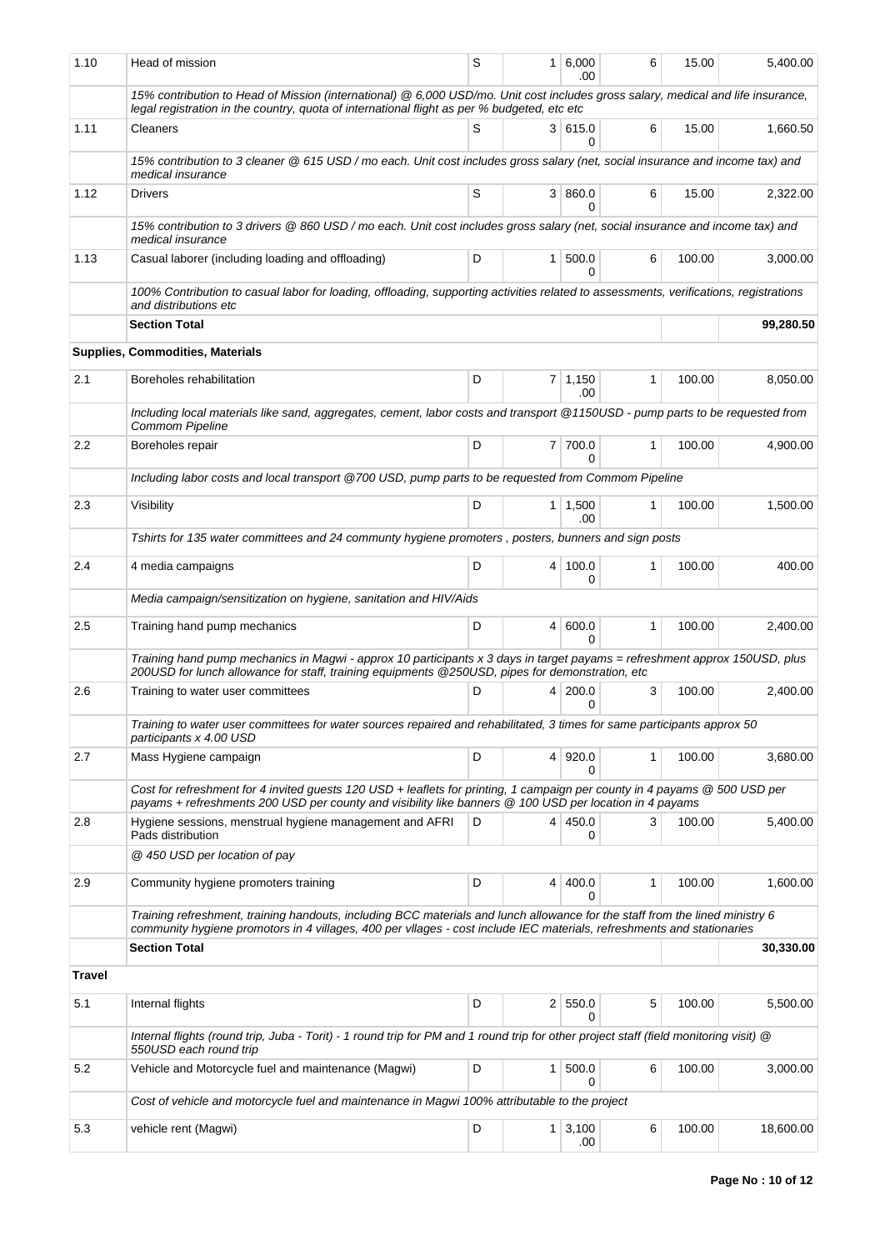| 1.10          | Head of mission                                                                                                                                                                                                                                        | S | 1              | 6,000<br>.00          | 6            | 15.00  | 5.400.00  |
|---------------|--------------------------------------------------------------------------------------------------------------------------------------------------------------------------------------------------------------------------------------------------------|---|----------------|-----------------------|--------------|--------|-----------|
|               | 15% contribution to Head of Mission (international) @ 6,000 USD/mo. Unit cost includes gross salary, medical and life insurance,<br>legal registration in the country, quota of international flight as per % budgeted, etc etc                        |   |                |                       |              |        |           |
| 1.11          | Cleaners                                                                                                                                                                                                                                               | S |                | 3 615.0<br>0          | 6            | 15.00  | 1,660.50  |
|               | 15% contribution to 3 cleaner @ 615 USD / mo each. Unit cost includes gross salary (net, social insurance and income tax) and<br>medical insurance                                                                                                     |   |                |                       |              |        |           |
| 1.12          | <b>Drivers</b>                                                                                                                                                                                                                                         | S |                | 3   860.0<br>$\Omega$ | 6            | 15.00  | 2,322.00  |
|               | 15% contribution to 3 drivers @ 860 USD / mo each. Unit cost includes gross salary (net, social insurance and income tax) and<br>medical insurance                                                                                                     |   |                |                       |              |        |           |
| 1.13          | Casual laborer (including loading and offloading)                                                                                                                                                                                                      | D |                | 1   500.0<br>0        | 6            | 100.00 | 3,000.00  |
|               | 100% Contribution to casual labor for loading, offloading, supporting activities related to assessments, verifications, registrations<br>and distributions etc                                                                                         |   |                |                       |              |        |           |
|               | <b>Section Total</b>                                                                                                                                                                                                                                   |   |                |                       |              |        | 99,280.50 |
|               | Supplies, Commodities, Materials                                                                                                                                                                                                                       |   |                |                       |              |        |           |
| 2.1           | Boreholes rehabilitation                                                                                                                                                                                                                               | D |                | $7 \mid 1,150$<br>.00 | $\mathbf{1}$ | 100.00 | 8,050.00  |
|               | Including local materials like sand, aggregates, cement, labor costs and transport @1150USD - pump parts to be requested from<br><b>Commom Pipeline</b>                                                                                                |   |                |                       |              |        |           |
| 2.2           | Boreholes repair                                                                                                                                                                                                                                       | D |                | 7 700.0<br>$\Omega$   | $\mathbf{1}$ | 100.00 | 4,900.00  |
|               | Including labor costs and local transport @700 USD, pump parts to be requested from Commom Pipeline                                                                                                                                                    |   |                |                       |              |        |           |
| 2.3           | Visibility                                                                                                                                                                                                                                             | D |                | $1 \mid 1,500$<br>.00 | 1            | 100.00 | 1,500.00  |
|               | Tshirts for 135 water committees and 24 communty hygiene promoters, posters, bunners and sign posts                                                                                                                                                    |   |                |                       |              |        |           |
| 2.4           | 4 media campaigns                                                                                                                                                                                                                                      | D |                | 4 100.0<br>0          | 1            | 100.00 | 400.00    |
|               | Media campaign/sensitization on hygiene, sanitation and HIV/Aids                                                                                                                                                                                       |   |                |                       |              |        |           |
| 2.5           | Training hand pump mechanics                                                                                                                                                                                                                           | D |                | 4   600.0<br>$\Omega$ | $\mathbf{1}$ | 100.00 | 2,400.00  |
|               | Training hand pump mechanics in Magwi - approx 10 participants x 3 days in target payams = refreshment approx 150USD, plus<br>200USD for lunch allowance for staff, training equipments @250USD, pipes for demonstration, etc                          |   |                |                       |              |        |           |
| 2.6           | Training to water user committees                                                                                                                                                                                                                      | D |                | 4 200.0<br>0          | 3            | 100.00 | 2,400.00  |
|               | Training to water user committees for water sources repaired and rehabilitated, 3 times for same participants approx 50<br>participants x 4.00 USD                                                                                                     |   |                |                       |              |        |           |
| 2.7           | Mass Hygiene campaign                                                                                                                                                                                                                                  | D |                | 4 920.0<br>0          | 1            | 100.00 | 3,680.00  |
|               | Cost for refreshment for 4 invited guests 120 USD + leaflets for printing, 1 campaign per county in 4 payams @ 500 USD per<br>payams + refreshments 200 USD per county and visibility like banners @ 100 USD per location in 4 payams                  |   |                |                       |              |        |           |
| 2.8           | Hygiene sessions, menstrual hygiene management and AFRI<br>Pads distribution                                                                                                                                                                           | D |                | 4   450.0<br>0        | 3            | 100.00 | 5,400.00  |
|               | @ 450 USD per location of pay                                                                                                                                                                                                                          |   |                |                       |              |        |           |
| 2.9           | Community hygiene promoters training                                                                                                                                                                                                                   | D | 4              | 400.0<br>0            | 1            | 100.00 | 1,600.00  |
|               | Training refreshment, training handouts, including BCC materials and lunch allowance for the staff from the lined ministry 6<br>community hygiene promotors in 4 villages, 400 per vllages - cost include IEC materials, refreshments and stationaries |   |                |                       |              |        |           |
|               | <b>Section Total</b>                                                                                                                                                                                                                                   |   |                |                       |              |        | 30,330.00 |
| <b>Travel</b> |                                                                                                                                                                                                                                                        |   |                |                       |              |        |           |
| 5.1           | Internal flights                                                                                                                                                                                                                                       | D |                | 2   550.0<br>$\Omega$ | 5            | 100.00 | 5,500.00  |
|               | Internal flights (round trip, Juba - Torit) - 1 round trip for PM and 1 round trip for other project staff (field monitoring visit) @<br>550USD each round trip                                                                                        |   |                |                       |              |        |           |
| 5.2           | Vehicle and Motorcycle fuel and maintenance (Magwi)                                                                                                                                                                                                    | D | 1 <sup>1</sup> | 500.0<br>0            | 6            | 100.00 | 3,000.00  |
|               | Cost of vehicle and motorcycle fuel and maintenance in Magwi 100% attributable to the project                                                                                                                                                          |   |                |                       |              |        |           |
| 5.3           | vehicle rent (Magwi)                                                                                                                                                                                                                                   | D |                | $1 \mid 3,100$<br>.00 | 6            | 100.00 | 18,600.00 |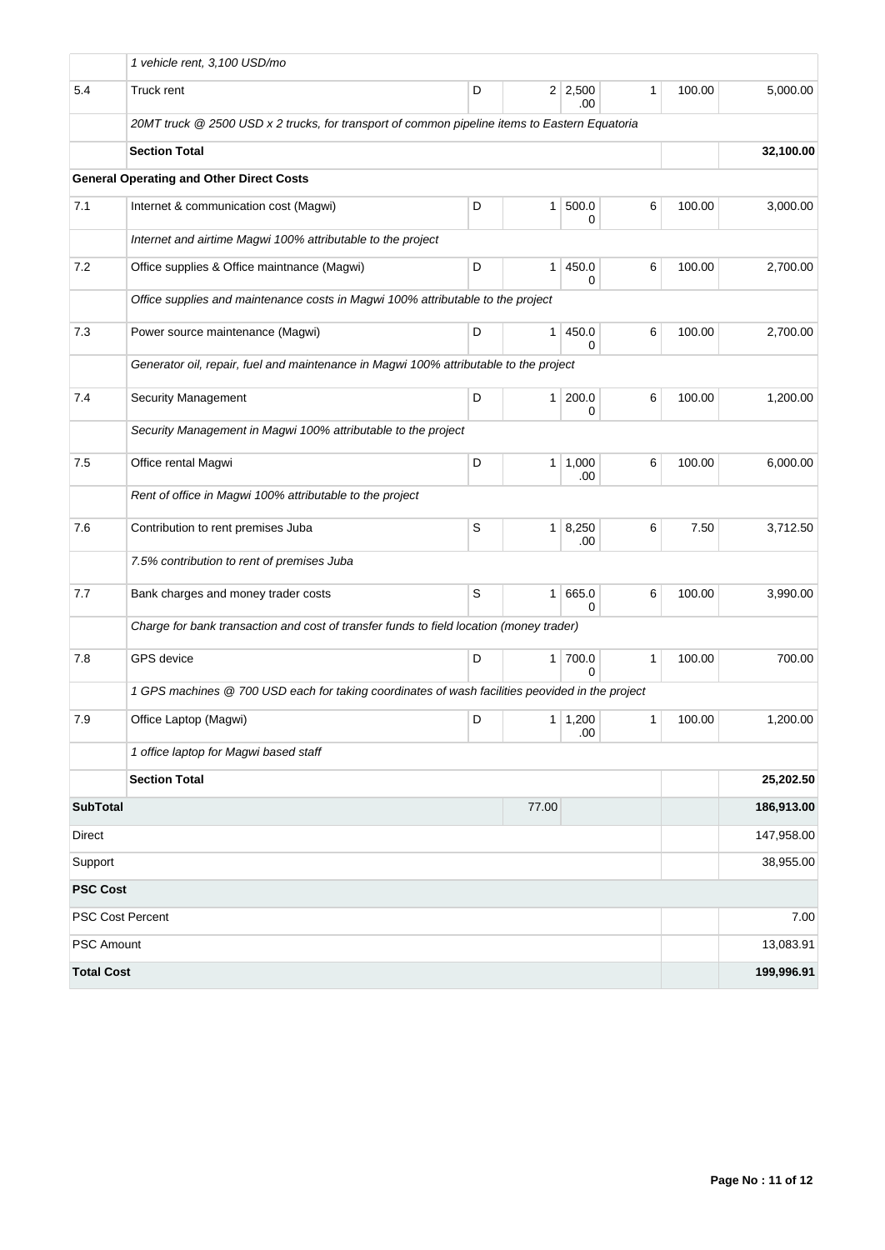|                                                                                 | 1 vehicle rent, 3,100 USD/mo                                                                    |   |                |                       |              |        |            |  |  |  |  |
|---------------------------------------------------------------------------------|-------------------------------------------------------------------------------------------------|---|----------------|-----------------------|--------------|--------|------------|--|--|--|--|
| 5.4                                                                             | Truck rent                                                                                      | D |                | $2 \mid 2,500$<br>.00 | $\mathbf{1}$ | 100.00 | 5,000.00   |  |  |  |  |
|                                                                                 | 20MT truck @ 2500 USD x 2 trucks, for transport of common pipeline items to Eastern Equatoria   |   |                |                       |              |        |            |  |  |  |  |
|                                                                                 | <b>Section Total</b>                                                                            |   |                |                       |              |        | 32,100.00  |  |  |  |  |
|                                                                                 | <b>General Operating and Other Direct Costs</b>                                                 |   |                |                       |              |        |            |  |  |  |  |
| 7.1                                                                             | Internet & communication cost (Magwi)                                                           | D | $\mathbf{1}$   | 500.0<br>0            | 6            | 100.00 | 3,000.00   |  |  |  |  |
|                                                                                 | Internet and airtime Magwi 100% attributable to the project                                     |   |                |                       |              |        |            |  |  |  |  |
| 7.2                                                                             | Office supplies & Office maintnance (Magwi)                                                     | D | 1              | 450.0<br>0            | 6            | 100.00 | 2,700.00   |  |  |  |  |
| Office supplies and maintenance costs in Magwi 100% attributable to the project |                                                                                                 |   |                |                       |              |        |            |  |  |  |  |
| 7.3                                                                             | Power source maintenance (Magwi)                                                                | D | $\mathbf{1}$   | 450.0<br>0            | 6            | 100.00 | 2,700.00   |  |  |  |  |
|                                                                                 | Generator oil, repair, fuel and maintenance in Magwi 100% attributable to the project           |   |                |                       |              |        |            |  |  |  |  |
| 7.4                                                                             | <b>Security Management</b>                                                                      | D | $\mathbf{1}$   | 200.0<br>0            | 6            | 100.00 | 1,200.00   |  |  |  |  |
|                                                                                 | Security Management in Magwi 100% attributable to the project                                   |   |                |                       |              |        |            |  |  |  |  |
| 7.5                                                                             | Office rental Magwi                                                                             | D | $\mathbf{1}$   | 1,000<br>.00          | 6            | 100.00 | 6,000.00   |  |  |  |  |
|                                                                                 | Rent of office in Magwi 100% attributable to the project                                        |   |                |                       |              |        |            |  |  |  |  |
| 7.6                                                                             | Contribution to rent premises Juba                                                              | S | 1 <sup>1</sup> | 8,250<br>.00          | 6            | 7.50   | 3,712.50   |  |  |  |  |
|                                                                                 | 7.5% contribution to rent of premises Juba                                                      |   |                |                       |              |        |            |  |  |  |  |
| 7.7                                                                             | Bank charges and money trader costs                                                             | S | $\mathbf{1}$   | 665.0<br>0            | 6            | 100.00 | 3,990.00   |  |  |  |  |
|                                                                                 | Charge for bank transaction and cost of transfer funds to field location (money trader)         |   |                |                       |              |        |            |  |  |  |  |
| 7.8                                                                             | <b>GPS</b> device                                                                               | D | 1 <sup>1</sup> | 700.0<br>0            | 1            | 100.00 | 700.00     |  |  |  |  |
|                                                                                 | 1 GPS machines @ 700 USD each for taking coordinates of wash facilities peovided in the project |   |                |                       |              |        |            |  |  |  |  |
| 7.9                                                                             | Office Laptop (Magwi)                                                                           | D |                | 1   1,200<br>.00      | $\mathbf{1}$ | 100.00 | 1,200.00   |  |  |  |  |
|                                                                                 | 1 office laptop for Magwi based staff                                                           |   |                |                       |              |        |            |  |  |  |  |
|                                                                                 | <b>Section Total</b>                                                                            |   |                |                       |              |        | 25,202.50  |  |  |  |  |
| <b>SubTotal</b>                                                                 |                                                                                                 |   | 77.00          |                       |              |        | 186,913.00 |  |  |  |  |
| Direct                                                                          |                                                                                                 |   | 147,958.00     |                       |              |        |            |  |  |  |  |
| Support                                                                         |                                                                                                 |   | 38,955.00      |                       |              |        |            |  |  |  |  |
| <b>PSC Cost</b>                                                                 |                                                                                                 |   |                |                       |              |        |            |  |  |  |  |
| <b>PSC Cost Percent</b>                                                         |                                                                                                 |   | 7.00           |                       |              |        |            |  |  |  |  |
| PSC Amount                                                                      |                                                                                                 |   | 13,083.91      |                       |              |        |            |  |  |  |  |
| <b>Total Cost</b>                                                               |                                                                                                 |   |                |                       |              |        | 199,996.91 |  |  |  |  |